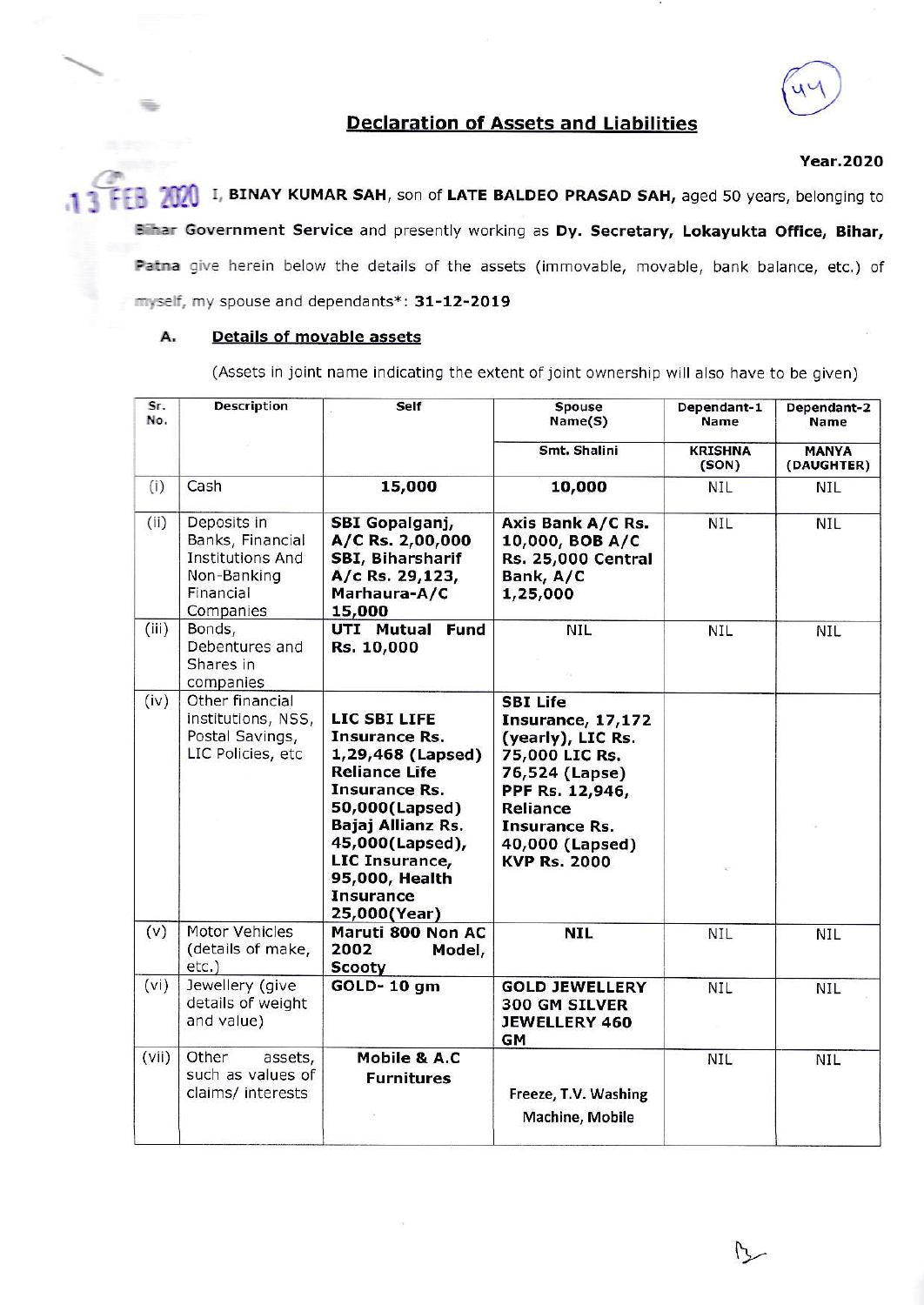## **Declaration of Assets and Liabilities**

## **Year.2020**

I, BINAY KUMAR SAH, son of LATE BALDEO PRASAD SAH, aged 50 years, belonging to **AM** FF6 Bihar Government Service and presently working as Dy. Secretary, Lokayukta Office, Bihar, Patna give herein below the details of the assets (immovable, movable, bank balance, etc.) of myself, my spouse and dependants\*: 31-12-2019

## А. Details of movable assets

(Assets in joint name indicating the extent of joint ownership will also have to be given)

| Sr.<br>No. | <b>Description</b>                                                                                  | Self                                                                                                                                                                                                                                 | Spouse<br>Name(S)                                                                                                                                                                              | Dependant-1<br>Name     | Dependant-2<br>Name        |
|------------|-----------------------------------------------------------------------------------------------------|--------------------------------------------------------------------------------------------------------------------------------------------------------------------------------------------------------------------------------------|------------------------------------------------------------------------------------------------------------------------------------------------------------------------------------------------|-------------------------|----------------------------|
|            |                                                                                                     |                                                                                                                                                                                                                                      | Smt. Shalini                                                                                                                                                                                   | <b>KRISHNA</b><br>(SON) | <b>MANYA</b><br>(DAUGHTER) |
| (i)        | Cash                                                                                                | 15,000                                                                                                                                                                                                                               | 10,000                                                                                                                                                                                         | <b>NIL</b>              | <b>NIL</b>                 |
| (ii)       | Deposits in<br>Banks, Financial<br><b>Institutions And</b><br>Non-Banking<br>Financial<br>Companies | SBI Gopalganj,<br>A/C Rs. 2,00,000<br><b>SBI, Biharsharif</b><br>A/c Rs. 29,123,<br>Marhaura-A/C<br>15,000                                                                                                                           | Axis Bank A/C Rs.<br>10,000, BOB A/C<br><b>Rs. 25,000 Central</b><br>Bank, A/C<br>1,25,000                                                                                                     | <b>NIL</b>              | <b>NIL</b>                 |
| (iii)      | Bonds,<br>Debentures and<br>Shares in<br>companies                                                  | <b>UTI Mutual Fund</b><br>Rs. 10,000                                                                                                                                                                                                 | <b>NIL</b>                                                                                                                                                                                     | <b>NIL</b>              | <b>NIL</b>                 |
| (iv)       | Other financial<br>institutions, NSS,<br>Postal Savings,<br>LIC Policies, etc                       | LIC SBI LIFE<br>Insurance Rs.<br>1,29,468 (Lapsed)<br><b>Reliance Life</b><br><b>Insurance Rs.</b><br>50,000(Lapsed)<br>Bajaj Allianz Rs.<br>45,000(Lapsed),<br>LIC Insurance,<br>95,000, Health<br><b>Insurance</b><br>25,000(Year) | <b>SBI Life</b><br>Insurance, 17,172<br>(yearly), LIC Rs.<br>75,000 LIC Rs.<br>76,524 (Lapse)<br>PPF Rs. 12,946,<br>Reliance<br><b>Insurance Rs.</b><br>40,000 (Lapsed)<br><b>KVP Rs. 2000</b> |                         |                            |
| (v)        | Motor Vehicles<br>(details of make,<br>$etc.$ )                                                     | Maruti 800 Non AC<br>2002<br>Model,<br>Scooty                                                                                                                                                                                        | <b>NIL</b>                                                                                                                                                                                     | <b>NIL</b>              | <b>NIL</b>                 |
| (vi)       | Jewellery (give<br>details of weight<br>and value)                                                  | <b>GOLD-10 gm</b>                                                                                                                                                                                                                    | <b>GOLD JEWELLERY</b><br>300 GM SILVER<br><b>JEWELLERY 460</b><br><b>GM</b>                                                                                                                    | <b>NIL</b>              | <b>NIL</b>                 |
| (vii)      | Other<br>assets,<br>such as values of<br>claims/ interests                                          | Mobile & A.C<br><b>Furnitures</b>                                                                                                                                                                                                    | Freeze, T.V. Washing<br>Machine, Mobile                                                                                                                                                        | <b>NIL</b>              | <b>NIL</b>                 |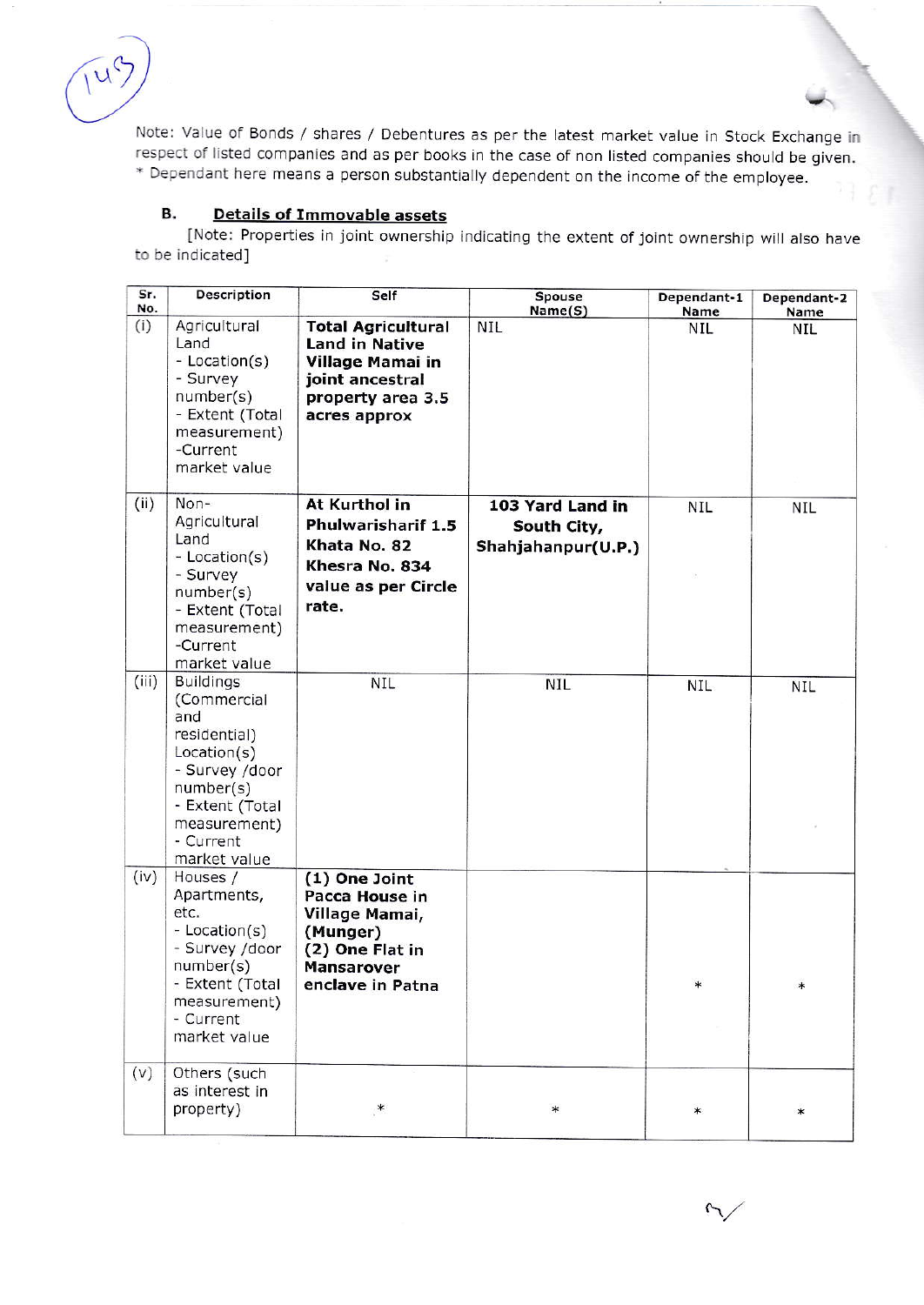$\overline{u}^c$ 

Note: Value of Bonds / shares / Debentures as per the latest market value in Stock Exchange in respect of listed companies and as per books in the case of non listed companies should be given. \* Dependant here means a person substantially dependent on the income of the employee.

## **Details of Immovable assets** В.

[Note: Properties in joint ownership indicating the extent of joint ownership will also have to be indicated]

| Sr.<br>No. | <b>Description</b>                                                                                                                                                   | Self                                                                                                                           | Spouse<br>Name(S)                                     | Dependant-1<br>Name | Dependant-2<br>Name |
|------------|----------------------------------------------------------------------------------------------------------------------------------------------------------------------|--------------------------------------------------------------------------------------------------------------------------------|-------------------------------------------------------|---------------------|---------------------|
| (i)        | Agricultural<br>Land<br>- Location(s)<br>- Survey<br>number(s)<br>- Extent (Total<br>measurement)<br>-Current<br>market value                                        | <b>Total Agricultural</b><br><b>Land in Native</b><br>Village Mamai in<br>joint ancestral<br>property area 3.5<br>acres approx | <b>NIL</b>                                            | <b>NIL</b>          | NIL                 |
| (ii)       | Non-<br>Agricultural<br>Land<br>- Location(s)<br>- Survey<br>number(s)<br>- Extent (Total<br>measurement)<br>-Current<br>market value                                | At Kurthol in<br>Phulwarisharif 1.5<br>Khata No. 82<br>Khesra No. 834<br>value as per Circle<br>rate.                          | 103 Yard Land in<br>South City,<br>Shahjahanpur(U.P.) | <b>NIL</b>          | <b>NIL</b>          |
| (iii)      | <b>Buildings</b><br>(Commercial<br>and<br>residential)<br>Location(s)<br>- Survey /door<br>number(s)<br>- Extent (Total<br>measurement)<br>- Current<br>market value | <b>NIL</b>                                                                                                                     | <b>NIL</b>                                            | <b>NIL</b>          | <b>NIL</b>          |
| (iv)       | Houses /<br>Apartments,<br>etc.<br>- Location(s)<br>- Survey /door<br>number(s)<br>- Extent (Total<br>measurement)<br>- Current<br>market value                      | $(1)$ One Joint<br>Pacca House in<br>Village Mamai,<br>(Munger)<br>(2) One Flat in<br><b>Mansarover</b><br>enclave in Patna    |                                                       | $\ast$              |                     |
| (v)        | Others (such<br>as interest in<br>property)                                                                                                                          | $*$                                                                                                                            | $\ast$                                                | $\ast$              | $\ast$              |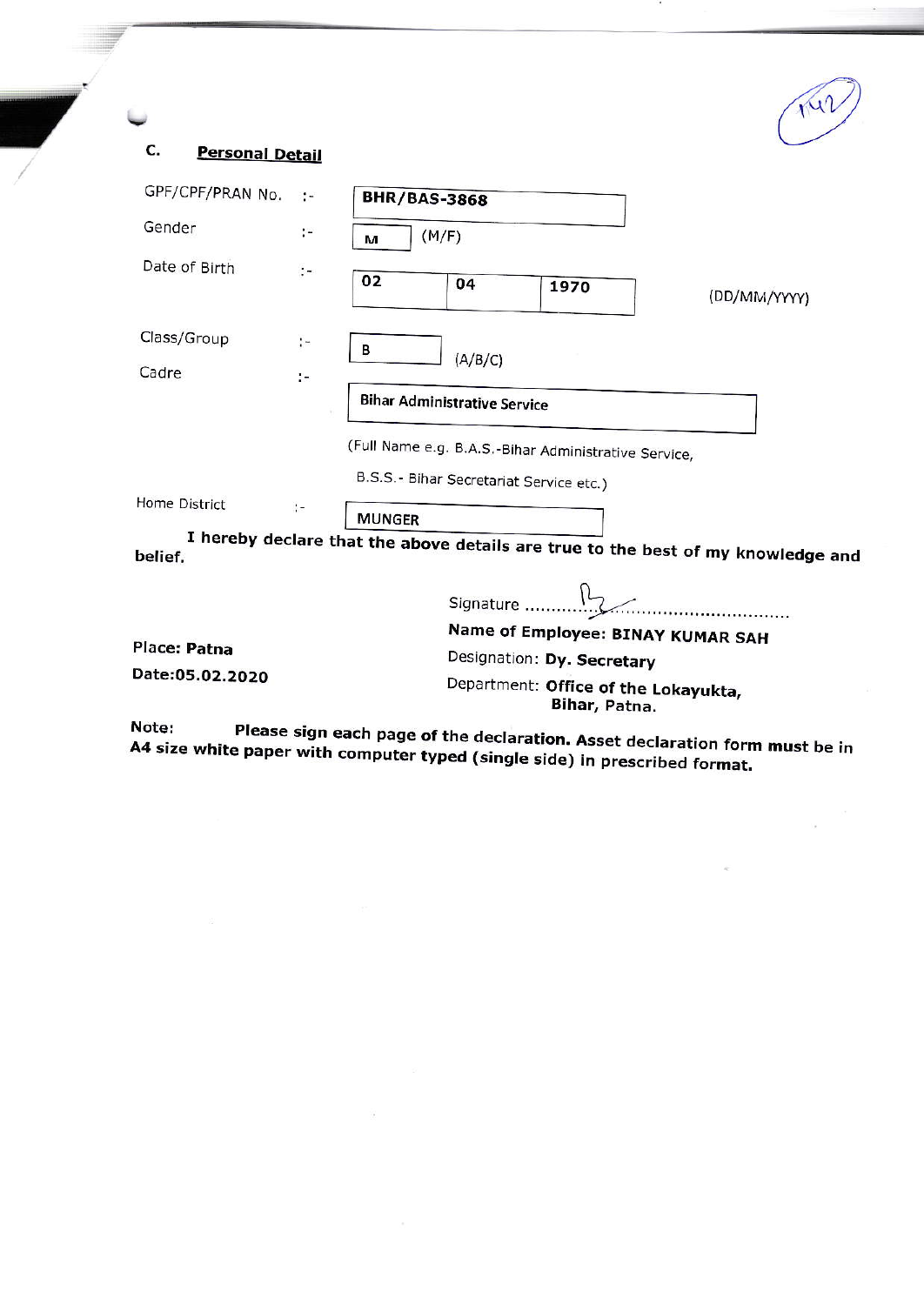|                                                                                             |                                     |                     |           |                                   | $\sqrt{uv}$  |
|---------------------------------------------------------------------------------------------|-------------------------------------|---------------------|-----------|-----------------------------------|--------------|
| C.<br><b>Personal Detail</b>                                                                |                                     |                     |           |                                   |              |
| GPF/CPF/PRAN No.                                                                            | $\sim$                              | <b>BHR/BAS-3868</b> |           |                                   |              |
| Gender<br>$:-$                                                                              |                                     | (M/F)<br>M          |           |                                   |              |
| Date of Birth                                                                               | ÷                                   | 02                  | 04        | 1970                              | (DD/MM/YYYY) |
| Class/Group                                                                                 | $\ddot{\cdot}$                      | В                   |           |                                   |              |
| Cadre                                                                                       | $\mathcal{L}_{\mathcal{M}}$         |                     | (A/B/C)   |                                   |              |
|                                                                                             | <b>Bihar Administrative Service</b> |                     |           |                                   |              |
| (Full Name e.g. B.A.S.-Bihar Administrative Service,                                        |                                     |                     |           |                                   |              |
| B.S.S.- Bihar Secretariat Service etc.)                                                     |                                     |                     |           |                                   |              |
| Home District                                                                               | ķ÷                                  | <b>MUNGER</b>       |           |                                   |              |
| I hereby declare that the above details are true to the best of my knowledge and<br>belief. |                                     |                     |           |                                   |              |
|                                                                                             |                                     |                     | Signature |                                   |              |
| <b>Pall</b> ers and the property                                                            |                                     |                     |           | Name of Employee: BINAY KUMAR SAH |              |

**Place: Patna** Date:05.02.2020

Designation: Dy. Secretary

Department: Office of the Lokayukta, Bihar, Patna.

Please sign each page of the declaration. Asset declaration form must be in Note: A4 size white paper with computer typed (single side) in prescribed format.